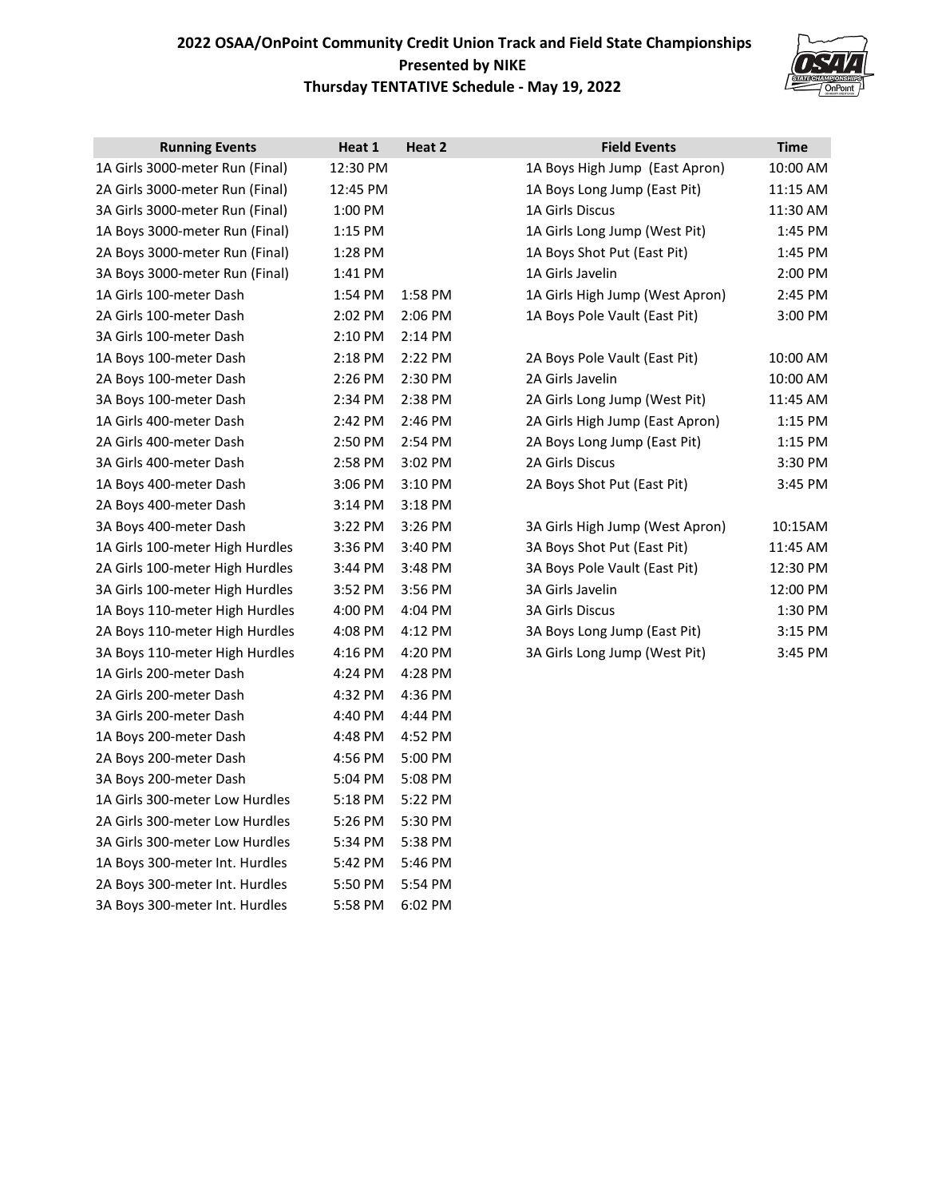## **2022 OSAA/OnPoint Community Credit Union Track and Field State Championships Presented by NIKE Thursday TENTATIVE Schedule - May 19, 2022**



| <b>Running Events</b>           | Heat 1    | Heat 2    | <b>Field Events</b>             | <b>Time</b> |
|---------------------------------|-----------|-----------|---------------------------------|-------------|
| 1A Girls 3000-meter Run (Final) | 12:30 PM  |           | 1A Boys High Jump (East Apron)  | 10:00 AM    |
| 2A Girls 3000-meter Run (Final) | 12:45 PM  |           | 1A Boys Long Jump (East Pit)    | 11:15 AM    |
| 3A Girls 3000-meter Run (Final) | 1:00 PM   |           | 1A Girls Discus                 | 11:30 AM    |
| 1A Boys 3000-meter Run (Final)  | $1:15$ PM |           | 1A Girls Long Jump (West Pit)   | 1:45 PM     |
| 2A Boys 3000-meter Run (Final)  | 1:28 PM   |           | 1A Boys Shot Put (East Pit)     | 1:45 PM     |
| 3A Boys 3000-meter Run (Final)  | 1:41 PM   |           | 1A Girls Javelin                | 2:00 PM     |
| 1A Girls 100-meter Dash         | 1:54 PM   | 1:58 PM   | 1A Girls High Jump (West Apron) | 2:45 PM     |
| 2A Girls 100-meter Dash         | 2:02 PM   | 2:06 PM   | 1A Boys Pole Vault (East Pit)   | 3:00 PM     |
| 3A Girls 100-meter Dash         | 2:10 PM   | 2:14 PM   |                                 |             |
| 1A Boys 100-meter Dash          | 2:18 PM   | 2:22 PM   | 2A Boys Pole Vault (East Pit)   | 10:00 AM    |
| 2A Boys 100-meter Dash          | 2:26 PM   | 2:30 PM   | 2A Girls Javelin                | 10:00 AM    |
| 3A Boys 100-meter Dash          | 2:34 PM   | 2:38 PM   | 2A Girls Long Jump (West Pit)   | 11:45 AM    |
| 1A Girls 400-meter Dash         | 2:42 PM   | 2:46 PM   | 2A Girls High Jump (East Apron) | $1:15$ PM   |
| 2A Girls 400-meter Dash         | 2:50 PM   | 2:54 PM   | 2A Boys Long Jump (East Pit)    | $1:15$ PM   |
| 3A Girls 400-meter Dash         | 2:58 PM   | $3:02$ PM | 2A Girls Discus                 | 3:30 PM     |
| 1A Boys 400-meter Dash          | $3:06$ PM | $3:10$ PM | 2A Boys Shot Put (East Pit)     | 3:45 PM     |
| 2A Boys 400-meter Dash          | $3:14$ PM | $3:18$ PM |                                 |             |
| 3A Boys 400-meter Dash          | 3:22 PM   | $3:26$ PM | 3A Girls High Jump (West Apron) | 10:15AM     |
| 1A Girls 100-meter High Hurdles | 3:36 PM   | 3:40 PM   | 3A Boys Shot Put (East Pit)     | 11:45 AM    |
| 2A Girls 100-meter High Hurdles | 3:44 PM   | 3:48 PM   | 3A Boys Pole Vault (East Pit)   | 12:30 PM    |
| 3A Girls 100-meter High Hurdles | 3:52 PM   | 3:56 PM   | 3A Girls Javelin                | 12:00 PM    |
| 1A Boys 110-meter High Hurdles  | 4:00 PM   | 4:04 PM   | <b>3A Girls Discus</b>          | 1:30 PM     |
| 2A Boys 110-meter High Hurdles  | 4:08 PM   | 4:12 PM   | 3A Boys Long Jump (East Pit)    | $3:15$ PM   |
| 3A Boys 110-meter High Hurdles  | 4:16 PM   | 4:20 PM   | 3A Girls Long Jump (West Pit)   | 3:45 PM     |
| 1A Girls 200-meter Dash         | 4:24 PM   | 4:28 PM   |                                 |             |
| 2A Girls 200-meter Dash         | 4:32 PM   | 4:36 PM   |                                 |             |
| 3A Girls 200-meter Dash         | 4:40 PM   | 4:44 PM   |                                 |             |
| 1A Boys 200-meter Dash          | 4:48 PM   | 4:52 PM   |                                 |             |
| 2A Boys 200-meter Dash          | 4:56 PM   | 5:00 PM   |                                 |             |
| 3A Boys 200-meter Dash          | 5:04 PM   | 5:08 PM   |                                 |             |
| 1A Girls 300-meter Low Hurdles  | 5:18 PM   | 5:22 PM   |                                 |             |
| 2A Girls 300-meter Low Hurdles  | 5:26 PM   | 5:30 PM   |                                 |             |
| 3A Girls 300-meter Low Hurdles  | 5:34 PM   | 5:38 PM   |                                 |             |
| 1A Boys 300-meter Int. Hurdles  | 5:42 PM   | 5:46 PM   |                                 |             |
| 2A Boys 300-meter Int. Hurdles  | 5:50 PM   | 5:54 PM   |                                 |             |
| 3A Boys 300-meter Int. Hurdles  | 5:58 PM   | 6:02 PM   |                                 |             |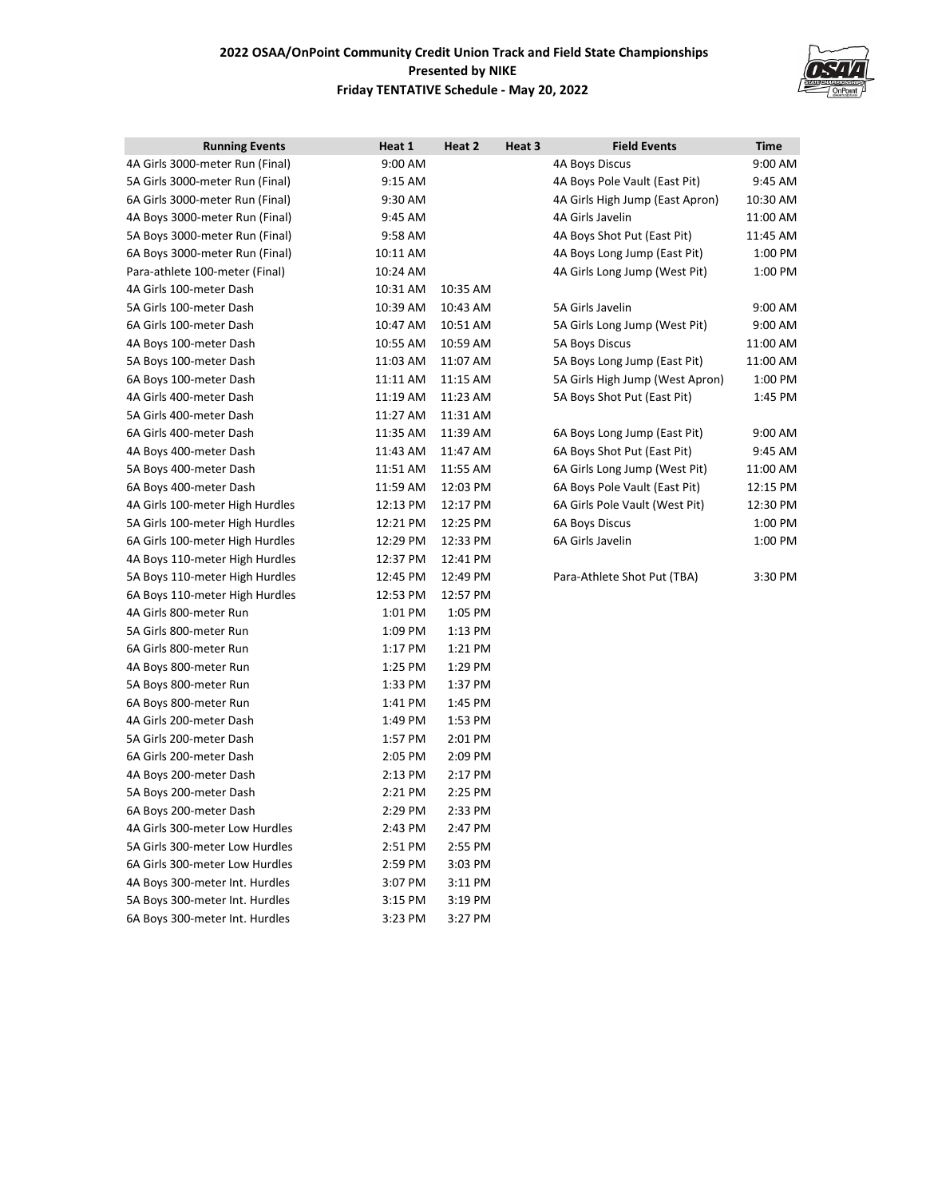## **2022 OSAA/OnPoint Community Credit Union Track and Field State Championships Presented by NIKE Friday TENTATIVE Schedule - May 20, 2022**



| <b>Running Events</b>           | Heat 1    | Heat 2   | Heat 3 | <b>Field Events</b>             | Time     |
|---------------------------------|-----------|----------|--------|---------------------------------|----------|
| 4A Girls 3000-meter Run (Final) | 9:00 AM   |          |        | 4A Boys Discus                  | 9:00 AM  |
| 5A Girls 3000-meter Run (Final) | 9:15 AM   |          |        | 4A Boys Pole Vault (East Pit)   | 9:45 AM  |
| 6A Girls 3000-meter Run (Final) | 9:30 AM   |          |        | 4A Girls High Jump (East Apron) | 10:30 AM |
| 4A Boys 3000-meter Run (Final)  | 9:45 AM   |          |        | 4A Girls Javelin                | 11:00 AM |
| 5A Boys 3000-meter Run (Final)  | 9:58 AM   |          |        | 4A Boys Shot Put (East Pit)     | 11:45 AM |
| 6A Boys 3000-meter Run (Final)  | 10:11 AM  |          |        | 4A Boys Long Jump (East Pit)    | 1:00 PM  |
| Para-athlete 100-meter (Final)  | 10:24 AM  |          |        | 4A Girls Long Jump (West Pit)   | 1:00 PM  |
| 4A Girls 100-meter Dash         | 10:31 AM  | 10:35 AM |        |                                 |          |
| 5A Girls 100-meter Dash         | 10:39 AM  | 10:43 AM |        | 5A Girls Javelin                | 9:00 AM  |
| 6A Girls 100-meter Dash         | 10:47 AM  | 10:51 AM |        | 5A Girls Long Jump (West Pit)   | 9:00 AM  |
| 4A Boys 100-meter Dash          | 10:55 AM  | 10:59 AM |        | <b>5A Boys Discus</b>           | 11:00 AM |
| 5A Boys 100-meter Dash          | 11:03 AM  | 11:07 AM |        | 5A Boys Long Jump (East Pit)    | 11:00 AM |
| 6A Boys 100-meter Dash          | 11:11 AM  | 11:15 AM |        | 5A Girls High Jump (West Apron) | 1:00 PM  |
| 4A Girls 400-meter Dash         | 11:19 AM  | 11:23 AM |        | 5A Boys Shot Put (East Pit)     | 1:45 PM  |
| 5A Girls 400-meter Dash         | 11:27 AM  | 11:31 AM |        |                                 |          |
| 6A Girls 400-meter Dash         | 11:35 AM  | 11:39 AM |        | 6A Boys Long Jump (East Pit)    | 9:00 AM  |
| 4A Boys 400-meter Dash          | 11:43 AM  | 11:47 AM |        | 6A Boys Shot Put (East Pit)     | 9:45 AM  |
| 5A Boys 400-meter Dash          | 11:51 AM  | 11:55 AM |        | 6A Girls Long Jump (West Pit)   | 11:00 AM |
| 6A Boys 400-meter Dash          | 11:59 AM  | 12:03 PM |        | 6A Boys Pole Vault (East Pit)   | 12:15 PM |
| 4A Girls 100-meter High Hurdles | 12:13 PM  | 12:17 PM |        | 6A Girls Pole Vault (West Pit)  | 12:30 PM |
| 5A Girls 100-meter High Hurdles | 12:21 PM  | 12:25 PM |        | <b>6A Boys Discus</b>           | 1:00 PM  |
| 6A Girls 100-meter High Hurdles | 12:29 PM  | 12:33 PM |        | 6A Girls Javelin                | 1:00 PM  |
| 4A Boys 110-meter High Hurdles  | 12:37 PM  | 12:41 PM |        |                                 |          |
| 5A Boys 110-meter High Hurdles  | 12:45 PM  | 12:49 PM |        | Para-Athlete Shot Put (TBA)     | 3:30 PM  |
| 6A Boys 110-meter High Hurdles  | 12:53 PM  | 12:57 PM |        |                                 |          |
| 4A Girls 800-meter Run          | 1:01 PM   | 1:05 PM  |        |                                 |          |
| 5A Girls 800-meter Run          | 1:09 PM   | 1:13 PM  |        |                                 |          |
| 6A Girls 800-meter Run          | $1:17$ PM | 1:21 PM  |        |                                 |          |
| 4A Boys 800-meter Run           | 1:25 PM   | 1:29 PM  |        |                                 |          |
| 5A Boys 800-meter Run           | 1:33 PM   | 1:37 PM  |        |                                 |          |
| 6A Boys 800-meter Run           | 1:41 PM   | 1:45 PM  |        |                                 |          |
| 4A Girls 200-meter Dash         | 1:49 PM   | 1:53 PM  |        |                                 |          |
| 5A Girls 200-meter Dash         | 1:57 PM   | 2:01 PM  |        |                                 |          |
| 6A Girls 200-meter Dash         | 2:05 PM   | 2:09 PM  |        |                                 |          |
| 4A Boys 200-meter Dash          | 2:13 PM   | 2:17 PM  |        |                                 |          |
| 5A Boys 200-meter Dash          | 2:21 PM   | 2:25 PM  |        |                                 |          |
| 6A Boys 200-meter Dash          | 2:29 PM   | 2:33 PM  |        |                                 |          |
| 4A Girls 300-meter Low Hurdles  | 2:43 PM   | 2:47 PM  |        |                                 |          |
| 5A Girls 300-meter Low Hurdles  | 2:51 PM   | 2:55 PM  |        |                                 |          |
| 6A Girls 300-meter Low Hurdles  | 2:59 PM   | 3:03 PM  |        |                                 |          |
| 4A Boys 300-meter Int. Hurdles  | 3:07 PM   | 3:11 PM  |        |                                 |          |
| 5A Boys 300-meter Int. Hurdles  | 3:15 PM   | 3:19 PM  |        |                                 |          |
| 6A Boys 300-meter Int. Hurdles  | 3:23 PM   | 3:27 PM  |        |                                 |          |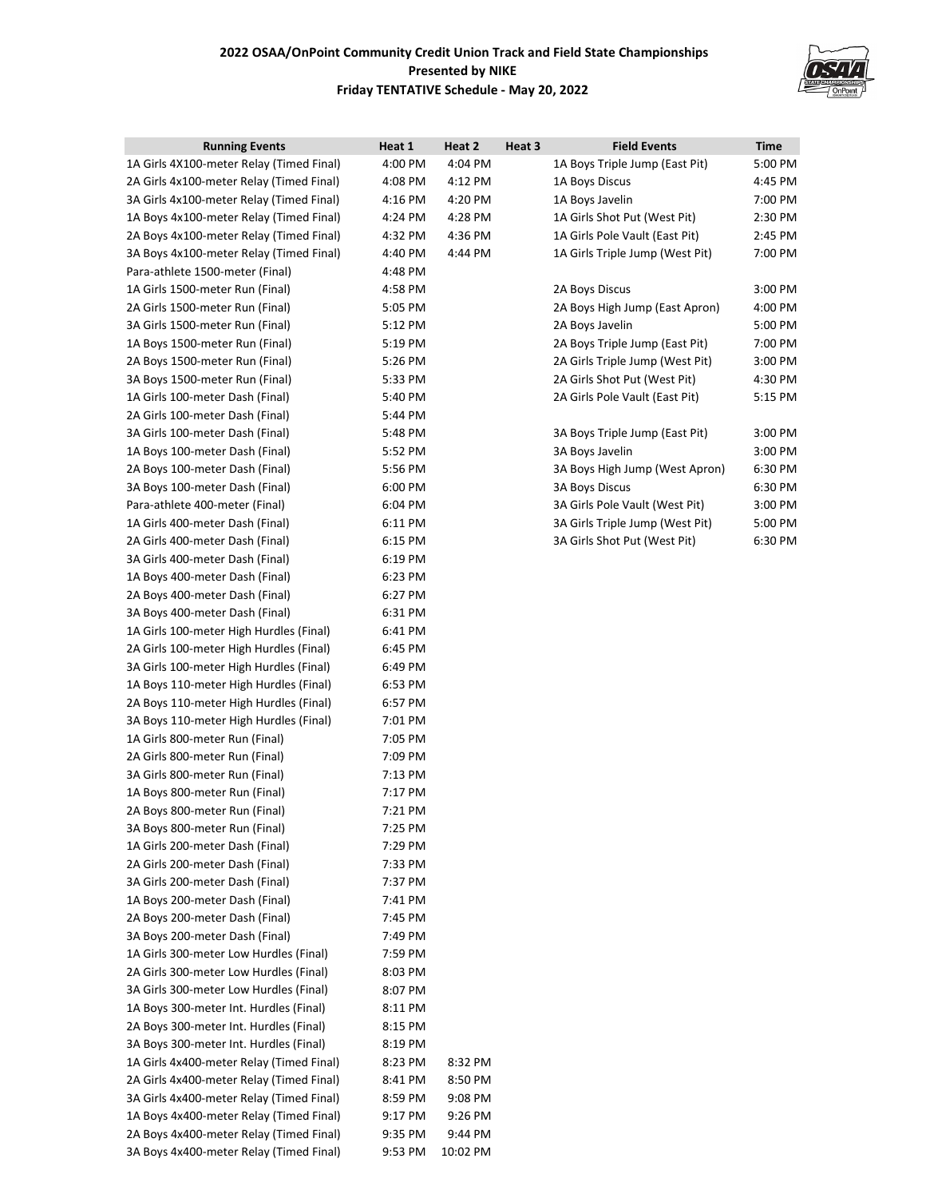## **2022 OSAA/OnPoint Community Credit Union Track and Field State Championships Presented by NIKE Friday TENTATIVE Schedule - May 20, 2022**



| <b>Running Events</b>                    | Heat 1  | Heat 2   | Heat 3 | <b>Field Events</b>             | <b>Time</b> |
|------------------------------------------|---------|----------|--------|---------------------------------|-------------|
| 1A Girls 4X100-meter Relay (Timed Final) | 4:00 PM | 4:04 PM  |        | 1A Boys Triple Jump (East Pit)  | 5:00 PM     |
| 2A Girls 4x100-meter Relay (Timed Final) | 4:08 PM | 4:12 PM  |        | 1A Boys Discus                  | 4:45 PM     |
| 3A Girls 4x100-meter Relay (Timed Final) | 4:16 PM | 4:20 PM  |        | 1A Boys Javelin                 | 7:00 PM     |
| 1A Boys 4x100-meter Relay (Timed Final)  | 4:24 PM | 4:28 PM  |        | 1A Girls Shot Put (West Pit)    | 2:30 PM     |
| 2A Boys 4x100-meter Relay (Timed Final)  | 4:32 PM | 4:36 PM  |        | 1A Girls Pole Vault (East Pit)  | 2:45 PM     |
| 3A Boys 4x100-meter Relay (Timed Final)  | 4:40 PM | 4:44 PM  |        | 1A Girls Triple Jump (West Pit) | 7:00 PM     |
| Para-athlete 1500-meter (Final)          | 4:48 PM |          |        |                                 |             |
| 1A Girls 1500-meter Run (Final)          | 4:58 PM |          |        | 2A Boys Discus                  | 3:00 PM     |
| 2A Girls 1500-meter Run (Final)          | 5:05 PM |          |        | 2A Boys High Jump (East Apron)  | 4:00 PM     |
| 3A Girls 1500-meter Run (Final)          | 5:12 PM |          |        | 2A Boys Javelin                 | 5:00 PM     |
| 1A Boys 1500-meter Run (Final)           | 5:19 PM |          |        | 2A Boys Triple Jump (East Pit)  | 7:00 PM     |
| 2A Boys 1500-meter Run (Final)           | 5:26 PM |          |        | 2A Girls Triple Jump (West Pit) | 3:00 PM     |
| 3A Boys 1500-meter Run (Final)           | 5:33 PM |          |        | 2A Girls Shot Put (West Pit)    | 4:30 PM     |
| 1A Girls 100-meter Dash (Final)          | 5:40 PM |          |        | 2A Girls Pole Vault (East Pit)  | 5:15 PM     |
| 2A Girls 100-meter Dash (Final)          | 5:44 PM |          |        |                                 |             |
| 3A Girls 100-meter Dash (Final)          | 5:48 PM |          |        | 3A Boys Triple Jump (East Pit)  | 3:00 PM     |
| 1A Boys 100-meter Dash (Final)           | 5:52 PM |          |        | 3A Boys Javelin                 | 3:00 PM     |
| 2A Boys 100-meter Dash (Final)           | 5:56 PM |          |        | 3A Boys High Jump (West Apron)  | 6:30 PM     |
| 3A Boys 100-meter Dash (Final)           | 6:00 PM |          |        | <b>3A Boys Discus</b>           | 6:30 PM     |
| Para-athlete 400-meter (Final)           | 6:04 PM |          |        | 3A Girls Pole Vault (West Pit)  | 3:00 PM     |
| 1A Girls 400-meter Dash (Final)          | 6:11 PM |          |        | 3A Girls Triple Jump (West Pit) | 5:00 PM     |
| 2A Girls 400-meter Dash (Final)          | 6:15 PM |          |        | 3A Girls Shot Put (West Pit)    | 6:30 PM     |
| 3A Girls 400-meter Dash (Final)          | 6:19 PM |          |        |                                 |             |
| 1A Boys 400-meter Dash (Final)           | 6:23 PM |          |        |                                 |             |
| 2A Boys 400-meter Dash (Final)           | 6:27 PM |          |        |                                 |             |
| 3A Boys 400-meter Dash (Final)           | 6:31 PM |          |        |                                 |             |
| 1A Girls 100-meter High Hurdles (Final)  | 6:41 PM |          |        |                                 |             |
| 2A Girls 100-meter High Hurdles (Final)  | 6:45 PM |          |        |                                 |             |
| 3A Girls 100-meter High Hurdles (Final)  | 6:49 PM |          |        |                                 |             |
| 1A Boys 110-meter High Hurdles (Final)   | 6:53 PM |          |        |                                 |             |
| 2A Boys 110-meter High Hurdles (Final)   | 6:57 PM |          |        |                                 |             |
| 3A Boys 110-meter High Hurdles (Final)   | 7:01 PM |          |        |                                 |             |
| 1A Girls 800-meter Run (Final)           | 7:05 PM |          |        |                                 |             |
| 2A Girls 800-meter Run (Final)           | 7:09 PM |          |        |                                 |             |
| 3A Girls 800-meter Run (Final)           | 7:13 PM |          |        |                                 |             |
| 1A Boys 800-meter Run (Final)            | 7:17 PM |          |        |                                 |             |
| 2A Boys 800-meter Run (Final)            | 7:21 PM |          |        |                                 |             |
| 3A Boys 800-meter Run (Final)            | 7:25 PM |          |        |                                 |             |
| 1A Girls 200-meter Dash (Final)          | 7:29 PM |          |        |                                 |             |
| 2A Girls 200-meter Dash (Final)          | 7:33 PM |          |        |                                 |             |
| 3A Girls 200-meter Dash (Final)          | 7:37 PM |          |        |                                 |             |
| 1A Boys 200-meter Dash (Final)           | 7:41 PM |          |        |                                 |             |
| 2A Boys 200-meter Dash (Final)           | 7:45 PM |          |        |                                 |             |
| 3A Boys 200-meter Dash (Final)           | 7:49 PM |          |        |                                 |             |
| 1A Girls 300-meter Low Hurdles (Final)   | 7:59 PM |          |        |                                 |             |
| 2A Girls 300-meter Low Hurdles (Final)   | 8:03 PM |          |        |                                 |             |
| 3A Girls 300-meter Low Hurdles (Final)   | 8:07 PM |          |        |                                 |             |
| 1A Boys 300-meter Int. Hurdles (Final)   | 8:11 PM |          |        |                                 |             |
| 2A Boys 300-meter Int. Hurdles (Final)   | 8:15 PM |          |        |                                 |             |
| 3A Boys 300-meter Int. Hurdles (Final)   | 8:19 PM |          |        |                                 |             |
| 1A Girls 4x400-meter Relay (Timed Final) | 8:23 PM | 8:32 PM  |        |                                 |             |
| 2A Girls 4x400-meter Relay (Timed Final) | 8:41 PM | 8:50 PM  |        |                                 |             |
| 3A Girls 4x400-meter Relay (Timed Final) | 8:59 PM | 9:08 PM  |        |                                 |             |
| 1A Boys 4x400-meter Relay (Timed Final)  | 9:17 PM | 9:26 PM  |        |                                 |             |
| 2A Boys 4x400-meter Relay (Timed Final)  | 9:35 PM | 9:44 PM  |        |                                 |             |
| 3A Boys 4x400-meter Relay (Timed Final)  | 9:53 PM | 10:02 PM |        |                                 |             |